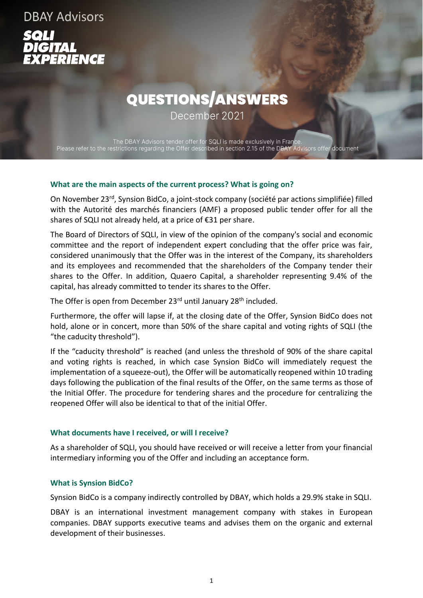**DBAY Advisors** RIENCE

# QUESTIONS/ANSWERS

December 2021

The DBAY Advisors tender offer for SQLI is made exclusively in France Please refer to the restrictions regarding the Offer described in section 2.15 of the DBAY Advisors offer document

#### **What are the main aspects of the current process? What is going on?**

On November 23rd, Synsion BidCo, a joint-stock company (société par actions simplifiée) filled with the Autorité des marchés financiers (AMF) a proposed public tender offer for all the shares of SQLI not already held, at a price of €31 per share.

The Board of Directors of SQLI, in view of the opinion of the company's social and economic committee and the report of independent expert concluding that the offer price was fair, considered unanimously that the Offer was in the interest of the Company, its shareholders and its employees and recommended that the shareholders of the Company tender their shares to the Offer. In addition, Quaero Capital, a shareholder representing 9.4% of the capital, has already committed to tender its shares to the Offer.

The Offer is open from December 23<sup>rd</sup> until January 28<sup>th</sup> included.

Furthermore, the offer will lapse if, at the closing date of the Offer, Synsion BidCo does not hold, alone or in concert, more than 50% of the share capital and voting rights of SQLI (the "the caducity threshold").

If the "caducity threshold" is reached (and unless the threshold of 90% of the share capital and voting rights is reached, in which case Synsion BidCo will immediately request the implementation of a squeeze-out), the Offer will be automatically reopened within 10 trading days following the publication of the final results of the Offer, on the same terms as those of the Initial Offer. The procedure for tendering shares and the procedure for centralizing the reopened Offer will also be identical to that of the initial Offer.

#### **What documents have I received, or will I receive?**

As a shareholder of SQLI, you should have received or will receive a letter from your financial intermediary informing you of the Offer and including an acceptance form.

#### **What is Synsion BidCo?**

Synsion BidCo is a company indirectly controlled by DBAY, which holds a 29.9% stake in SQLI.

DBAY is an international investment management company with stakes in European companies. DBAY supports executive teams and advises them on the organic and external development of their businesses.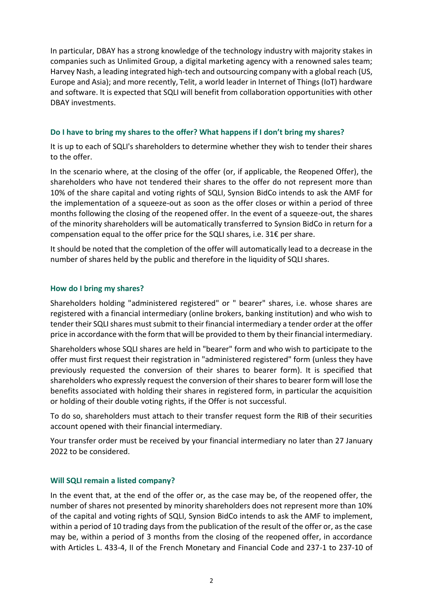In particular, DBAY has a strong knowledge of the technology industry with majority stakes in companies such as Unlimited Group, a digital marketing agency with a renowned sales team; Harvey Nash, a leading integrated high-tech and outsourcing company with a global reach (US, Europe and Asia); and more recently, Telit, a world leader in Internet of Things (IoT) hardware and software. It is expected that SQLI will benefit from collaboration opportunities with other DBAY investments.

## **Do I have to bring my shares to the offer? What happens if I don't bring my shares?**

It is up to each of SQLI's shareholders to determine whether they wish to tender their shares to the offer.

In the scenario where, at the closing of the offer (or, if applicable, the Reopened Offer), the shareholders who have not tendered their shares to the offer do not represent more than 10% of the share capital and voting rights of SQLI, Synsion BidCo intends to ask the AMF for the implementation of a squeeze-out as soon as the offer closes or within a period of three months following the closing of the reopened offer. In the event of a squeeze-out, the shares of the minority shareholders will be automatically transferred to Synsion BidCo in return for a compensation equal to the offer price for the SQLI shares, i.e. 31€ per share.

It should be noted that the completion of the offer will automatically lead to a decrease in the number of shares held by the public and therefore in the liquidity of SQLI shares.

## **How do I bring my shares?**

Shareholders holding "administered registered" or " bearer" shares, i.e. whose shares are registered with a financial intermediary (online brokers, banking institution) and who wish to tender their SQLI shares must submit to their financial intermediary a tender order at the offer price in accordance with the form that will be provided to them by their financial intermediary.

Shareholders whose SQLI shares are held in "bearer" form and who wish to participate to the offer must first request their registration in "administered registered" form (unless they have previously requested the conversion of their shares to bearer form). It is specified that shareholders who expressly request the conversion of their shares to bearer form will lose the benefits associated with holding their shares in registered form, in particular the acquisition or holding of their double voting rights, if the Offer is not successful.

To do so, shareholders must attach to their transfer request form the RIB of their securities account opened with their financial intermediary.

Your transfer order must be received by your financial intermediary no later than 27 January 2022 to be considered.

#### **Will SQLI remain a listed company?**

In the event that, at the end of the offer or, as the case may be, of the reopened offer, the number of shares not presented by minority shareholders does not represent more than 10% of the capital and voting rights of SQLI, Synsion BidCo intends to ask the AMF to implement, within a period of 10 trading days from the publication of the result of the offer or, as the case may be, within a period of 3 months from the closing of the reopened offer, in accordance with Articles L. 433-4, II of the French Monetary and Financial Code and 237-1 to 237-10 of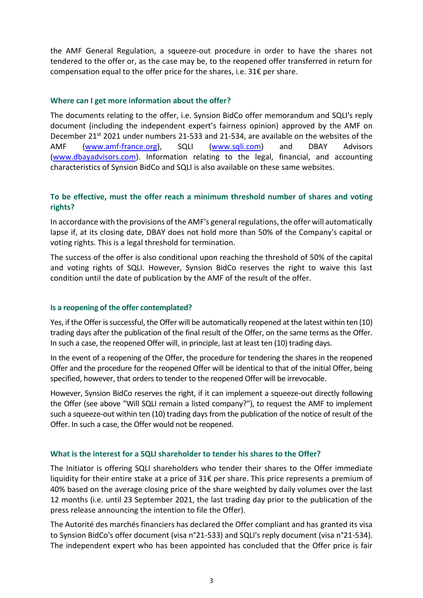the AMF General Regulation, a squeeze-out procedure in order to have the shares not tendered to the offer or, as the case may be, to the reopened offer transferred in return for compensation equal to the offer price for the shares, i.e. 31€ per share.

## **Where can I get more information about the offer?**

The documents relating to the offer, i.e. Synsion BidCo offer memorandum and SQLI's reply document (including the independent expert's fairness opinion) approved by the AMF on December 21<sup>st</sup> 2021 under numbers 21-533 and 21-534, are available on the websites of the AMF [\(www.amf-france.org\)](http://www.amf-france.org/), SQLI [\(www.sqli.com\)](http://www.sqli.com/) and DBAY Advisors [\(www.dbayadvisors.com\)](http://www.dbayadvisors.com/). Information relating to the legal, financial, and accounting characteristics of Synsion BidCo and SQLI is also available on these same websites.

# **To be effective, must the offer reach a minimum threshold number of shares and voting rights?**

In accordance with the provisions of the AMF's general regulations, the offer will automatically lapse if, at its closing date, DBAY does not hold more than 50% of the Company's capital or voting rights. This is a legal threshold for termination.

The success of the offer is also conditional upon reaching the threshold of 50% of the capital and voting rights of SQLI. However, Synsion BidCo reserves the right to waive this last condition until the date of publication by the AMF of the result of the offer.

#### **Is a reopening of the offer contemplated?**

Yes, if the Offer is successful, the Offer will be automatically reopened at the latest within ten (10) trading days after the publication of the final result of the Offer, on the same terms as the Offer. In such a case, the reopened Offer will, in principle, last at least ten (10) trading days.

In the event of a reopening of the Offer, the procedure for tendering the shares in the reopened Offer and the procedure for the reopened Offer will be identical to that of the initial Offer, being specified, however, that orders to tender to the reopened Offer will be irrevocable.

However, Synsion BidCo reserves the right, if it can implement a squeeze-out directly following the Offer (see above "Will SQLI remain a listed company?"), to request the AMF to implement such a squeeze-out within ten (10) trading days from the publication of the notice of result of the Offer. In such a case, the Offer would not be reopened.

#### **What is the interest for a SQLI shareholder to tender his shares to the Offer?**

The Initiator is offering SQLI shareholders who tender their shares to the Offer immediate liquidity for their entire stake at a price of 31€ per share. This price represents a premium of 40% based on the average closing price of the share weighted by daily volumes over the last 12 months (i.e. until 23 September 2021, the last trading day prior to the publication of the press release announcing the intention to file the Offer).

The Autorité des marchés financiers has declared the Offer compliant and has granted its visa to Synsion BidCo's offer document (visa n°21-533) and SQLI's reply document (visa n°21-534). The independent expert who has been appointed has concluded that the Offer price is fair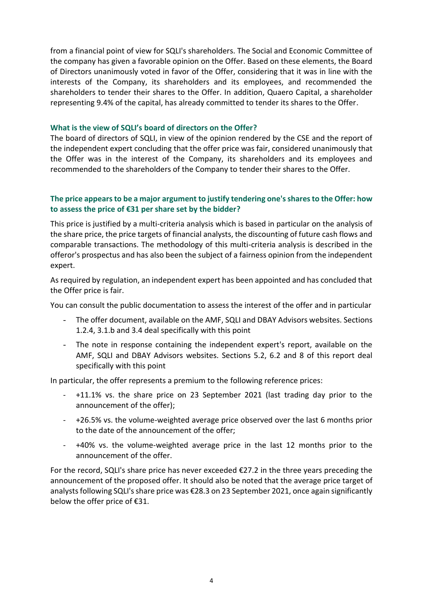from a financial point of view for SQLI's shareholders. The Social and Economic Committee of the company has given a favorable opinion on the Offer. Based on these elements, the Board of Directors unanimously voted in favor of the Offer, considering that it was in line with the interests of the Company, its shareholders and its employees, and recommended the shareholders to tender their shares to the Offer. In addition, Quaero Capital, a shareholder representing 9.4% of the capital, has already committed to tender its shares to the Offer.

#### **What is the view of SQLI's board of directors on the Offer?**

The board of directors of SQLI, in view of the opinion rendered by the CSE and the report of the independent expert concluding that the offer price was fair, considered unanimously that the Offer was in the interest of the Company, its shareholders and its employees and recommended to the shareholders of the Company to tender their shares to the Offer.

## **The price appears to be a major argument to justify tendering one's shares to the Offer: how to assess the price of €31 per share set by the bidder?**

This price is justified by a multi-criteria analysis which is based in particular on the analysis of the share price, the price targets of financial analysts, the discounting of future cash flows and comparable transactions. The methodology of this multi-criteria analysis is described in the offeror's prospectus and has also been the subject of a fairness opinion from the independent expert.

As required by regulation, an independent expert has been appointed and has concluded that the Offer price is fair.

You can consult the public documentation to assess the interest of the offer and in particular

- The offer document, available on the AMF, SQLI and DBAY Advisors websites. Sections 1.2.4, 3.1.b and 3.4 deal specifically with this point
- The note in response containing the independent expert's report, available on the AMF, SQLI and DBAY Advisors websites. Sections 5.2, 6.2 and 8 of this report deal specifically with this point

In particular, the offer represents a premium to the following reference prices:

- +11.1% vs. the share price on 23 September 2021 (last trading day prior to the announcement of the offer);
- +26.5% vs. the volume-weighted average price observed over the last 6 months prior to the date of the announcement of the offer;
- +40% vs. the volume-weighted average price in the last 12 months prior to the announcement of the offer.

For the record, SQLI's share price has never exceeded  $\epsilon$ 27.2 in the three years preceding the announcement of the proposed offer. It should also be noted that the average price target of analysts following SQLI's share price was €28.3 on 23 September 2021, once again significantly below the offer price of €31.